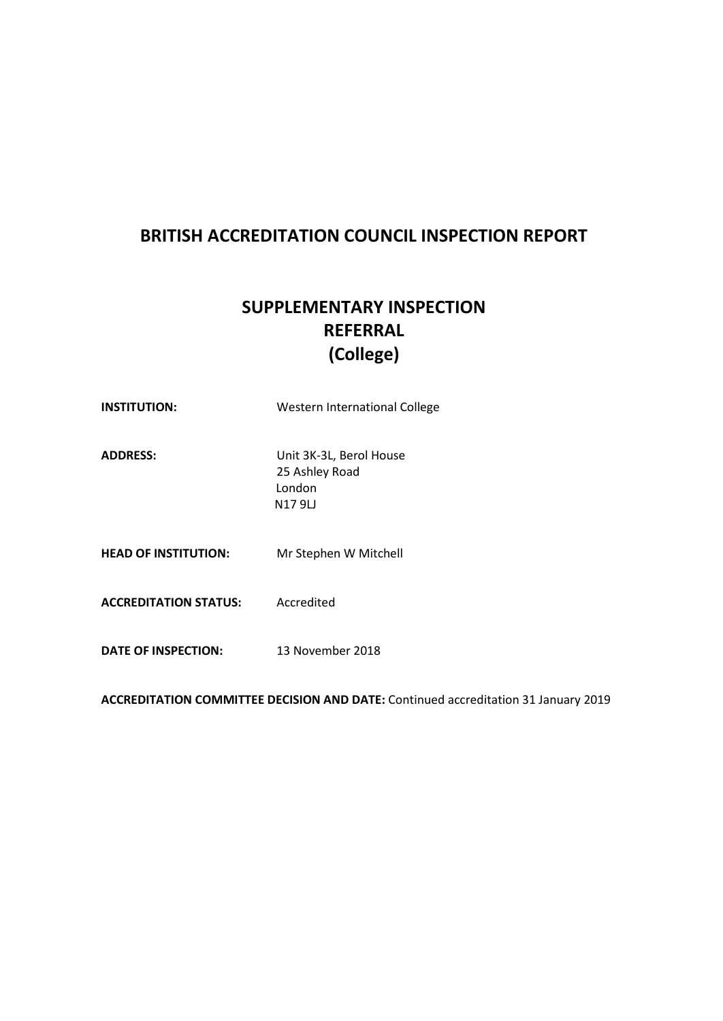## **BRITISH ACCREDITATION COUNCIL INSPECTION REPORT**

# **SUPPLEMENTARY INSPECTION REFERRAL (College)**

| <b>INSTITUTION:</b>          | Western International College                                 |
|------------------------------|---------------------------------------------------------------|
| <b>ADDRESS:</b>              | Unit 3K-3L, Berol House<br>25 Ashley Road<br>London<br>N179LJ |
| <b>HEAD OF INSTITUTION:</b>  | Mr Stephen W Mitchell                                         |
| <b>ACCREDITATION STATUS:</b> | Accredited                                                    |
| DATE OF INSPECTION:          | 13 November 2018                                              |

**ACCREDITATION COMMITTEE DECISION AND DATE:** Continued accreditation 31 January 2019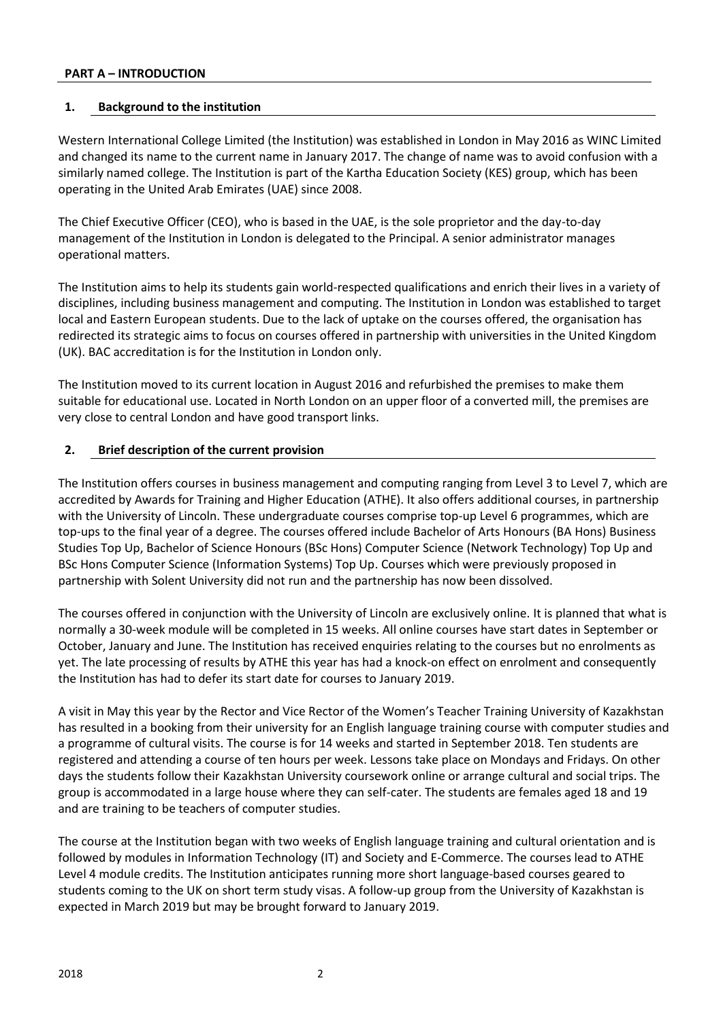#### **PART A – INTRODUCTION**

#### **1. Background to the institution**

Western International College Limited (the Institution) was established in London in May 2016 as WINC Limited and changed its name to the current name in January 2017. The change of name was to avoid confusion with a similarly named college. The Institution is part of the Kartha Education Society (KES) group, which has been operating in the United Arab Emirates (UAE) since 2008.

The Chief Executive Officer (CEO), who is based in the UAE, is the sole proprietor and the day-to-day management of the Institution in London is delegated to the Principal. A senior administrator manages operational matters.

The Institution aims to help its students gain world-respected qualifications and enrich their lives in a variety of disciplines, including business management and computing. The Institution in London was established to target local and Eastern European students. Due to the lack of uptake on the courses offered, the organisation has redirected its strategic aims to focus on courses offered in partnership with universities in the United Kingdom (UK). BAC accreditation is for the Institution in London only.

The Institution moved to its current location in August 2016 and refurbished the premises to make them suitable for educational use. Located in North London on an upper floor of a converted mill, the premises are very close to central London and have good transport links.

#### **2. Brief description of the current provision**

The Institution offers courses in business management and computing ranging from Level 3 to Level 7, which are accredited by Awards for Training and Higher Education (ATHE). It also offers additional courses, in partnership with the University of Lincoln. These undergraduate courses comprise top-up Level 6 programmes, which are top-ups to the final year of a degree. The courses offered include Bachelor of Arts Honours (BA Hons) Business Studies Top Up, Bachelor of Science Honours (BSc Hons) Computer Science (Network Technology) Top Up and BSc Hons Computer Science (Information Systems) Top Up. Courses which were previously proposed in partnership with Solent University did not run and the partnership has now been dissolved.

The courses offered in conjunction with the University of Lincoln are exclusively online. It is planned that what is normally a 30-week module will be completed in 15 weeks. All online courses have start dates in September or October, January and June. The Institution has received enquiries relating to the courses but no enrolments as yet. The late processing of results by ATHE this year has had a knock-on effect on enrolment and consequently the Institution has had to defer its start date for courses to January 2019.

A visit in May this year by the Rector and Vice Rector of the Women's Teacher Training University of Kazakhstan has resulted in a booking from their university for an English language training course with computer studies and a programme of cultural visits. The course is for 14 weeks and started in September 2018. Ten students are registered and attending a course of ten hours per week. Lessons take place on Mondays and Fridays. On other days the students follow their Kazakhstan University coursework online or arrange cultural and social trips. The group is accommodated in a large house where they can self-cater. The students are females aged 18 and 19 and are training to be teachers of computer studies.

The course at the Institution began with two weeks of English language training and cultural orientation and is followed by modules in Information Technology (IT) and Society and E-Commerce. The courses lead to ATHE Level 4 module credits. The Institution anticipates running more short language-based courses geared to students coming to the UK on short term study visas. A follow-up group from the University of Kazakhstan is expected in March 2019 but may be brought forward to January 2019.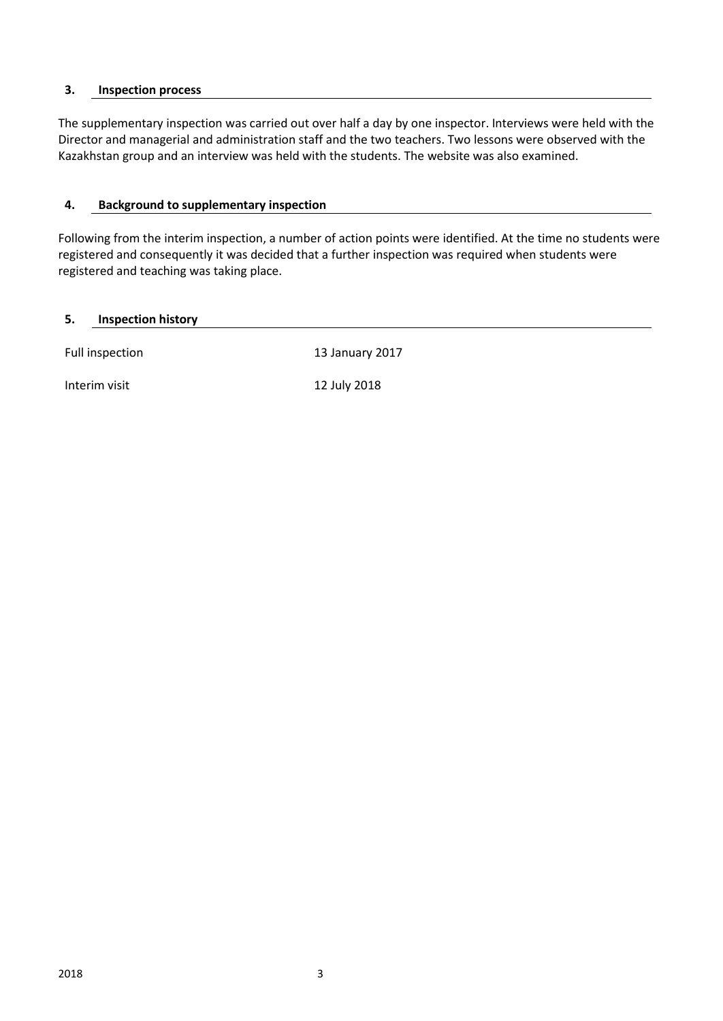#### **3. Inspection process**

The supplementary inspection was carried out over half a day by one inspector. Interviews were held with the Director and managerial and administration staff and the two teachers. Two lessons were observed with the Kazakhstan group and an interview was held with the students. The website was also examined.

#### **4. Background to supplementary inspection**

Following from the interim inspection, a number of action points were identified. At the time no students were registered and consequently it was decided that a further inspection was required when students were registered and teaching was taking place.

#### **5. Inspection history**

Full inspection 13 January 2017

Interim visit 12 July 2018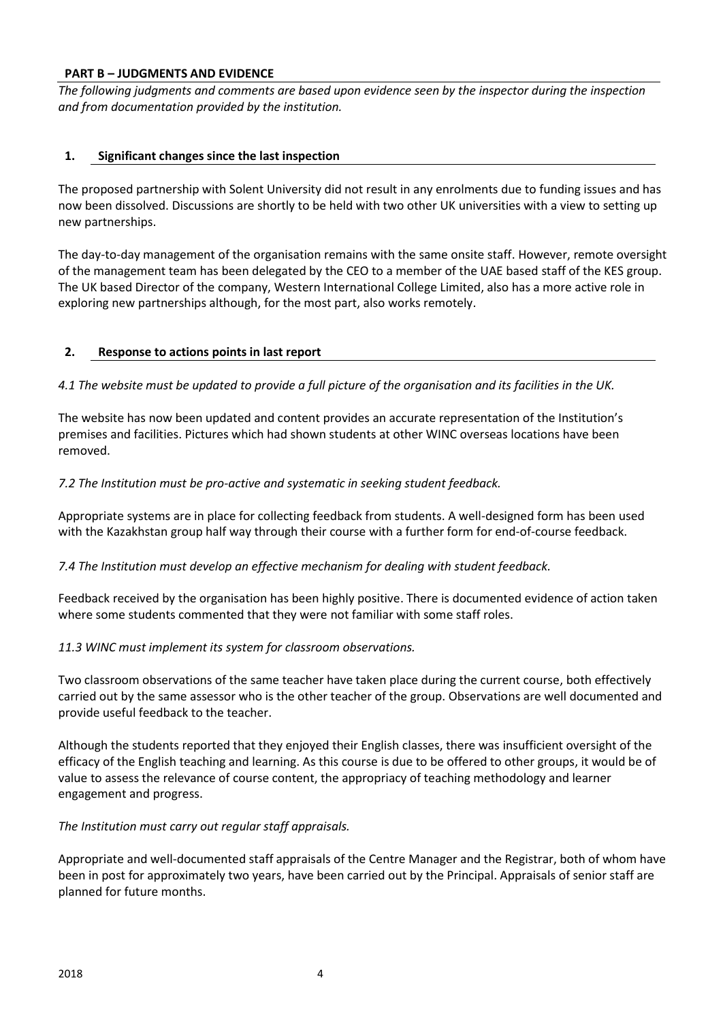#### **PART B – JUDGMENTS AND EVIDENCE**

*The following judgments and comments are based upon evidence seen by the inspector during the inspection and from documentation provided by the institution.*

#### **1. Significant changes since the last inspection**

The proposed partnership with Solent University did not result in any enrolments due to funding issues and has now been dissolved. Discussions are shortly to be held with two other UK universities with a view to setting up new partnerships.

The day-to-day management of the organisation remains with the same onsite staff. However, remote oversight of the management team has been delegated by the CEO to a member of the UAE based staff of the KES group. The UK based Director of the company, Western International College Limited, also has a more active role in exploring new partnerships although, for the most part, also works remotely.

#### **2. Response to actions points in last report**

*4.1 The website must be updated to provide a full picture of the organisation and its facilities in the UK.* 

The website has now been updated and content provides an accurate representation of the Institution's premises and facilities. Pictures which had shown students at other WINC overseas locations have been removed.

#### *7.2 The Institution must be pro-active and systematic in seeking student feedback.*

Appropriate systems are in place for collecting feedback from students. A well-designed form has been used with the Kazakhstan group half way through their course with a further form for end-of-course feedback.

#### *7.4 The Institution must develop an effective mechanism for dealing with student feedback.*

Feedback received by the organisation has been highly positive. There is documented evidence of action taken where some students commented that they were not familiar with some staff roles.

#### *11.3 WINC must implement its system for classroom observations.*

Two classroom observations of the same teacher have taken place during the current course, both effectively carried out by the same assessor who is the other teacher of the group. Observations are well documented and provide useful feedback to the teacher.

Although the students reported that they enjoyed their English classes, there was insufficient oversight of the efficacy of the English teaching and learning. As this course is due to be offered to other groups, it would be of value to assess the relevance of course content, the appropriacy of teaching methodology and learner engagement and progress.

#### *The Institution must carry out regular staff appraisals.*

Appropriate and well-documented staff appraisals of the Centre Manager and the Registrar, both of whom have been in post for approximately two years, have been carried out by the Principal. Appraisals of senior staff are planned for future months.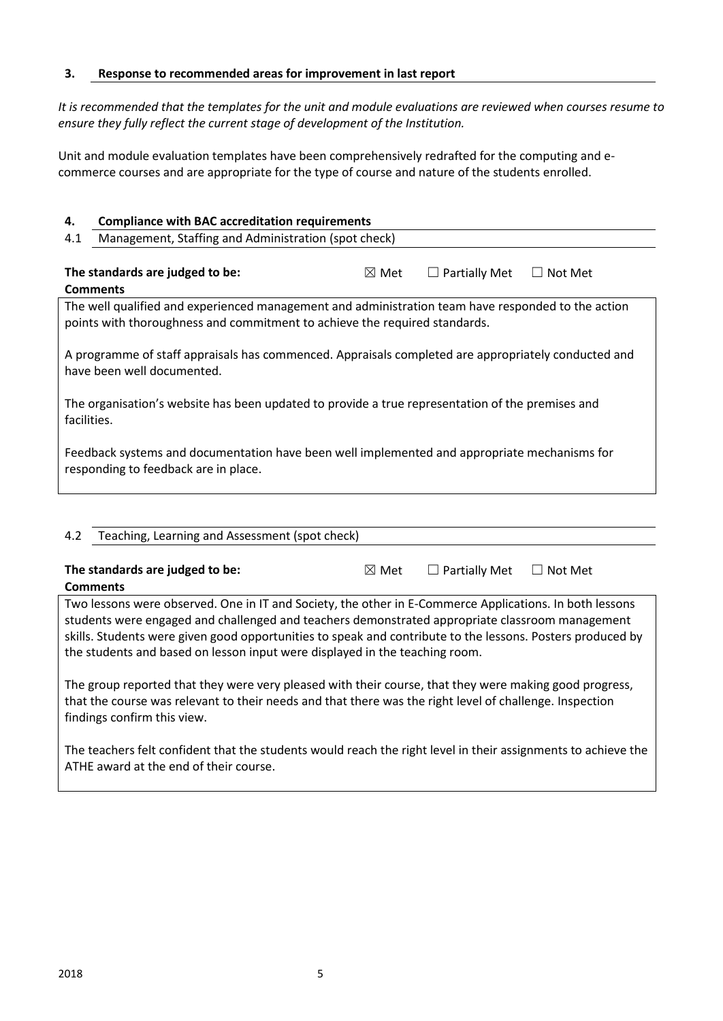#### **3. Response to recommended areas for improvement in last report**

*It is recommended that the templates for the unit and module evaluations are reviewed when courses resume to ensure they fully reflect the current stage of development of the Institution.* 

Unit and module evaluation templates have been comprehensively redrafted for the computing and ecommerce courses and are appropriate for the type of course and nature of the students enrolled.

| 4.                                                                                                                                                                               | <b>Compliance with BAC accreditation requirements</b> |                 |                      |         |
|----------------------------------------------------------------------------------------------------------------------------------------------------------------------------------|-------------------------------------------------------|-----------------|----------------------|---------|
| 4.1                                                                                                                                                                              | Management, Staffing and Administration (spot check)  |                 |                      |         |
|                                                                                                                                                                                  |                                                       |                 |                      |         |
|                                                                                                                                                                                  | The standards are judged to be:                       | $\boxtimes$ Met | $\Box$ Partially Met | Not Met |
|                                                                                                                                                                                  | <b>Comments</b>                                       |                 |                      |         |
| The well qualified and experienced management and administration team have responded to the action<br>points with thoroughness and commitment to achieve the required standards. |                                                       |                 |                      |         |
| A programme of staff appraisals has commenced. Appraisals completed are appropriately conducted and<br>have been well documented.                                                |                                                       |                 |                      |         |
| The organisation's website has been updated to provide a true representation of the premises and<br>facilities.                                                                  |                                                       |                 |                      |         |
| Feedback systems and documentation have been well implemented and appropriate mechanisms for<br>responding to feedback are in place.                                             |                                                       |                 |                      |         |
|                                                                                                                                                                                  |                                                       |                 |                      |         |

| 4.2                                                                                                                                                                                                                                              | Teaching, Learning and Assessment (spot check)                                                                |                 |                      |                   |
|--------------------------------------------------------------------------------------------------------------------------------------------------------------------------------------------------------------------------------------------------|---------------------------------------------------------------------------------------------------------------|-----------------|----------------------|-------------------|
|                                                                                                                                                                                                                                                  | The standards are judged to be:<br><b>Comments</b>                                                            | $\boxtimes$ Met | $\Box$ Partially Met | Not Met<br>$\Box$ |
| Two lessons were observed. One in IT and Society, the other in E-Commerce Applications. In both lessons                                                                                                                                          |                                                                                                               |                 |                      |                   |
| students were engaged and challenged and teachers demonstrated appropriate classroom management<br>skills. Students were given good opportunities to speak and contribute to the lessons. Posters produced by                                    |                                                                                                               |                 |                      |                   |
| the students and based on lesson input were displayed in the teaching room.                                                                                                                                                                      |                                                                                                               |                 |                      |                   |
| The group reported that they were very pleased with their course, that they were making good progress,<br>that the course was relevant to their needs and that there was the right level of challenge. Inspection<br>findings confirm this view. |                                                                                                               |                 |                      |                   |
|                                                                                                                                                                                                                                                  | The teachers felt confident that the students would reach the right level in their assignments to achieve the |                 |                      |                   |

ATHE award at the end of their course.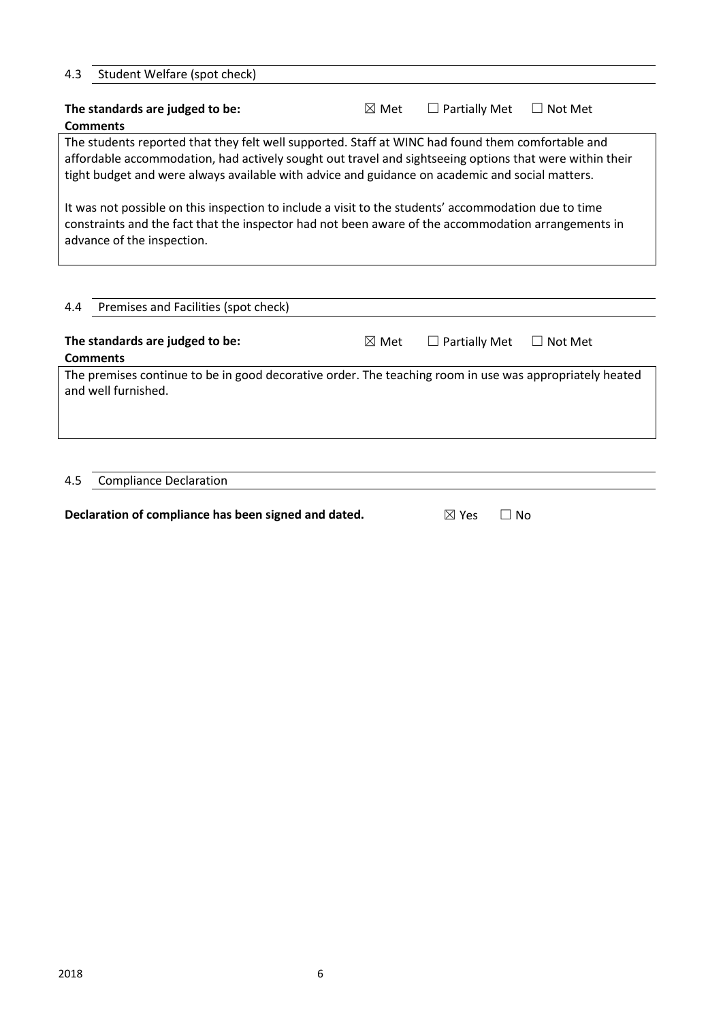| Student Welfare (spot check)<br>4.3                                                                                            |                 |                      |                |
|--------------------------------------------------------------------------------------------------------------------------------|-----------------|----------------------|----------------|
| The standards are judged to be:                                                                                                | $\boxtimes$ Met | $\Box$ Partially Met | $\Box$ Not Met |
| <b>Comments</b>                                                                                                                |                 |                      |                |
| The students reported that they felt well supported. Staff at WINC had found them comfortable and                              |                 |                      |                |
| affordable accommodation, had actively sought out travel and sightseeing options that were within their                        |                 |                      |                |
| tight budget and were always available with advice and guidance on academic and social matters.                                |                 |                      |                |
| advance of the inspection.                                                                                                     |                 |                      |                |
| Premises and Facilities (spot check)<br>4.4                                                                                    |                 |                      |                |
| The standards are judged to be:                                                                                                | $\boxtimes$ Met | <b>Partially Met</b> | $\Box$ Not Met |
| <b>Comments</b>                                                                                                                |                 |                      |                |
| The premises continue to be in good decorative order. The teaching room in use was appropriately heated<br>and well furnished. |                 |                      |                |
|                                                                                                                                |                 |                      |                |

### 4.5 Compliance Declaration

| Declaration of compliance has been signed and dated. | $\boxtimes$ Yes $\Box$ No |  |
|------------------------------------------------------|---------------------------|--|
|------------------------------------------------------|---------------------------|--|

| No |
|----|
|    |